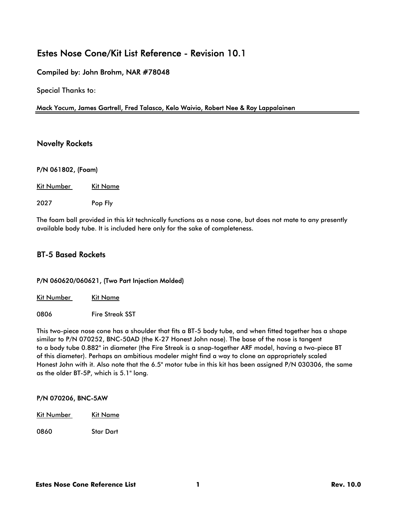# Estes Nose Cone/Kit List Reference - Revision 10.1

### Compiled by: John Brohm, NAR #78048

Special Thanks to:

#### Mack Yocum, James Gartrell, Fred Talasco, Kelo Waivio, Robert Nee & Roy Lappalainen

### Novelty Rockets

#### P/N 061802, (Foam)

Kit Number Kit Name

2027 Pop Fly

The foam ball provided in this kit technically functions as a nose cone, but does not mate to any presently available body tube. It is included here only for the sake of completeness.

### BT-5 Based Rockets

#### P/N 060620/060621, (Two Part Injection Molded)

Kit Number Kit Name

0806 Fire Streak SST

This two-piece nose cone has a shoulder that fits a BT-5 body tube, and when fitted together has a shape similar to P/N 070252, BNC-50AD (the K-27 Honest John nose). The base of the nose is tangent to a body tube 0.882" in diameter (the Fire Streak is a snap-together ARF model, having a two-piece BT of this diameter). Perhaps an ambitious modeler might find a way to clone an appropriately scaled Honest John with it. Also note that the 6.5" motor tube in this kit has been assigned P/N 030306, the same as the older BT-5P, which is 5.1" long.

#### P/N 070206, BNC-5AW

Kit Number Kit Name

0860 Star Dart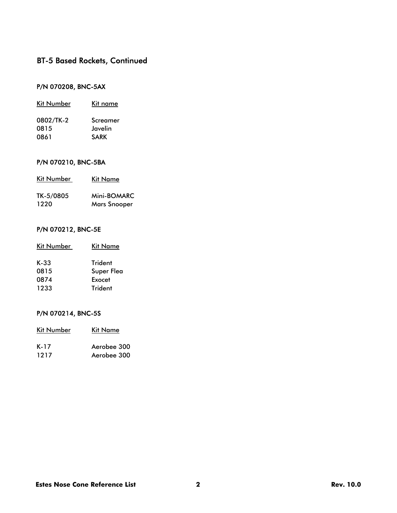### P/N 070208, BNC-5AX

| Kit Number | Kit name    |
|------------|-------------|
| 0802/TK-2  | Screamer    |
| 0815       | Javelin     |
| 0861       | <b>SARK</b> |

### P/N 070210, BNC-5BA

| Kit Number | Kit Name            |  |
|------------|---------------------|--|
| TK-5/0805  | Mini-BOMARC         |  |
| 1220       | <b>Mars Snooper</b> |  |

### P/N 070212, BNC-5E

| Kit Number | Kit Name       |
|------------|----------------|
| $K-33$     | <b>Trident</b> |
| 0815       | Super Flea     |
| 0874       | Exocet         |
| 1233       | <b>Trident</b> |

### P/N 070214, BNC-5S

| Kit Number | Kit Name    |
|------------|-------------|
| K-17       | Aerobee 300 |
| 1217       | Aerobee 300 |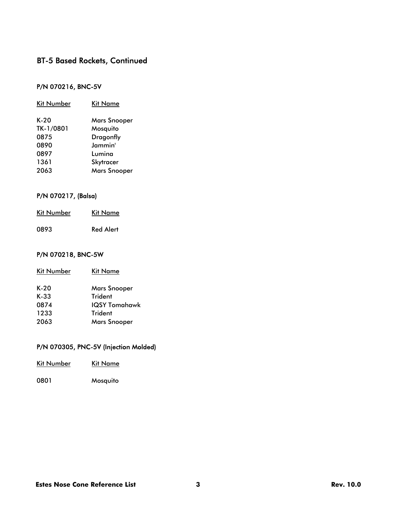### P/N 070216, BNC-5V

| Kit Number | Kit Name            |
|------------|---------------------|
| K-20       | <b>Mars Snooper</b> |
| TK-1/0801  | Mosquito            |
| 0875       | <b>Dragonfly</b>    |
| 0890       | Jammin'             |
| 0897       | Lumina              |
| 1361       | Skytracer           |
| 2063       | <b>Mars Snooper</b> |

#### P/N 070217, (Balsa)

| Kit Number | Kit Name         |
|------------|------------------|
| 0893       | <b>Red Alert</b> |

### P/N 070218, BNC-5W

| Kit Number | Kit Name            |
|------------|---------------------|
| $K-20$     | <b>Mars Snooper</b> |
| $K-33$     | <b>Trident</b>      |
| 0874       | IQSY Tomahawk       |
| 1233       | <b>Trident</b>      |
| 2063       | <b>Mars Snooper</b> |
|            |                     |

### P/N 070305, PNC-5V (Injection Molded)

| Kit Number | Kit Name |
|------------|----------|
| 0801       | Mosquito |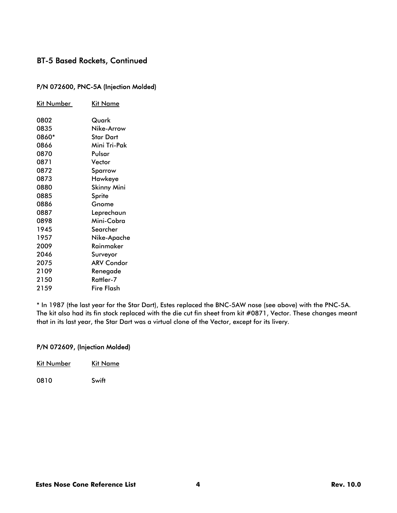#### P/N 072600, PNC-5A (Injection Molded)

| <u>Kit Number</u> | Kit Name           |
|-------------------|--------------------|
| 0802              | Quark              |
| 0835              | Nike-Arrow         |
| 0860*             | Star Dart          |
| 0866              | Mini Tri-Pak       |
| 0870              | Pulsar             |
| 0871              | Vector             |
| 0872              | Sparrow            |
| 0873              | Hawkeye            |
| 0880              | <b>Skinny Mini</b> |
| 0885              | Sprite             |
| 0886              | Gnome              |
| 0887              | Leprechaun         |
| 0898              | Mini-Cobra         |
| 1945              | Searcher           |
| 1957              | Nike-Apache        |
| 2009              | Rainmaker          |
| 2046              | Surveyor           |
| 2075              | <b>ARV Condor</b>  |
| 2109              | Renegade           |
| 2150              | Rattler-7          |
| 2159              | Fire Flash         |

\* In 1987 (the last year for the Star Dart), Estes replaced the BNC-5AW nose (see above) with the PNC-5A. The kit also had its fin stock replaced with the die cut fin sheet from kit #0871, Vector. These changes meant that in its last year, the Star Dart was a virtual clone of the Vector, except for its livery.

### P/N 072609, (Injection Molded)

| Kit Number | Kit Name |
|------------|----------|
| 0810       | Swift    |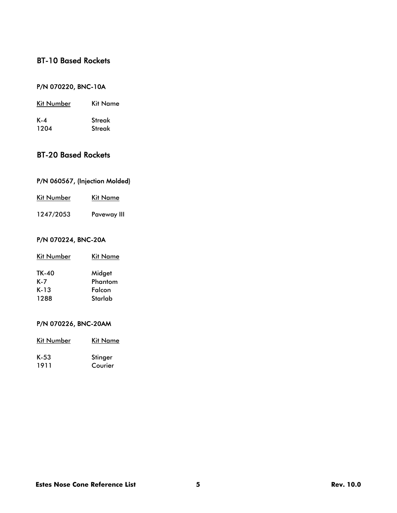# BT-10 Based Rockets

### P/N 070220, BNC-10A

| Kit Number | Kit Name      |
|------------|---------------|
| K-4        | <b>Streak</b> |
| 1204       | Streak        |

# BT-20 Based Rockets

### P/N 060567, (Injection Molded)

| <b>Kit Number</b> | Kit Name |
|-------------------|----------|
|                   |          |

1247/2053 Paveway III

### P/N 070224, BNC-20A

| Kit Name |
|----------|
| Midget   |
| Phantom  |
| Falcon   |
| Starlab  |
|          |

### P/N 070226, BNC-20AM

| <b>Kit Number</b> | Kit Name |
|-------------------|----------|
| K-53              | Stinger  |
| 1911              | Courier  |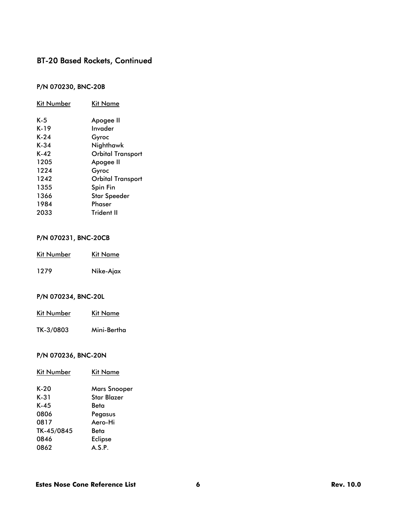### P/N 070230, BNC-20B

| Kit Number | Kit Name                 |
|------------|--------------------------|
| K-5        | Apogee II                |
| K-19       | Invader                  |
| K-24       | Gyroc                    |
| K-34       | Nighthawk                |
| K-42       | <b>Orbital Transport</b> |
| 1205       | Apogee II                |
| 1224       | Gyroc                    |
| 1242       | <b>Orbital Transport</b> |
| 1355       | Spin Fin                 |
| 1366       | <b>Star Speeder</b>      |
| 1984       | Phaser                   |
| 2033       | <b>Trident II</b>        |

### P/N 070231, BNC-20CB

| Kit Number | Kit Name  |
|------------|-----------|
| 1279       | Nike-Ajax |

### P/N 070234, BNC-20L

| <b>Kit Number</b> | Kit Name |
|-------------------|----------|
|                   |          |

TK-3/0803 Mini-Bertha

### P/N 070236, BNC-20N

| <b>Kit Number</b> | Kit Name       |
|-------------------|----------------|
| $K-20$            | Mars Snooper   |
| K-31              | Star Blazer    |
| $K-45$            | Beta           |
| 0806              | Pegasus        |
| 0817              | Aero-Hi        |
| TK-45/0845        | Beta           |
| 0846              | <b>Eclipse</b> |
| 0862              | A.S.P.         |
|                   |                |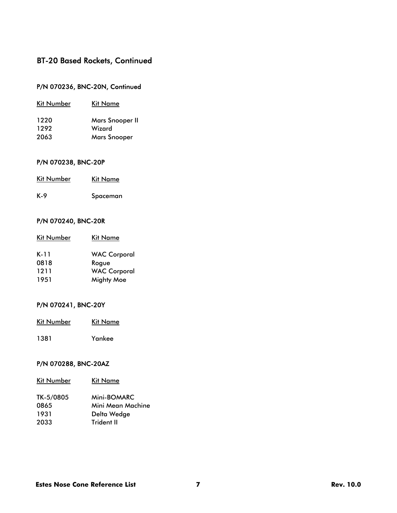### P/N 070236, BNC-20N, Continued

| Kit Number | Kit Name               |
|------------|------------------------|
| 1220       | <b>Mars Snooper II</b> |
| 1292       | Wizard                 |
| 2063       | <b>Mars Snooper</b>    |
|            |                        |

### P/N 070238, BNC-20P

| Kit Number | Kit Name |
|------------|----------|
| K-9        | Spaceman |

### P/N 070240, BNC-20R

| <b>Kit Number</b> | Kit Name            |
|-------------------|---------------------|
| K-11              | <b>WAC Corporal</b> |
| 0818              | Roque               |
| 1211              | <b>WAC Corporal</b> |
| 1951              | <b>Mighty Moe</b>   |

## P/N 070241, BNC-20Y

| Kit Number | Kit Name |
|------------|----------|
|            |          |

1381 Yankee

#### P/N 070288, BNC-20AZ

| <b>Kit Number</b> | Kit Name          |
|-------------------|-------------------|
| TK-5/0805         | Mini-BOMARC       |
| 0865              | Mini Mean Machine |
| 1931              | Delta Wedge       |
| 2033              | Trident II        |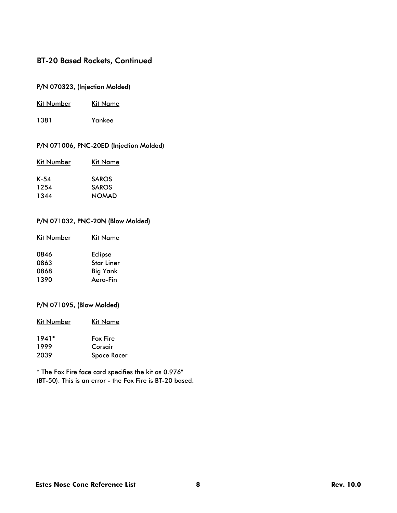### P/N 070323, (Injection Molded)

- Kit Number Kit Name
- 1381 Yankee

### P/N 071006, PNC-20ED (Injection Molded)

| Kit Number | Kit Name     |
|------------|--------------|
| $K-54$     | <b>SAROS</b> |
| 1254       | <b>SAROS</b> |
| 1344       | <b>NOMAD</b> |

#### P/N 071032, PNC-20N (Blow Molded)

| Kit Number | Kit Name          |
|------------|-------------------|
| 0846       | <b>Eclipse</b>    |
| 0863       | <b>Star Liner</b> |
| 0868       | <b>Big Yank</b>   |
| 1390       | Aero-Fin          |

#### P/N 071095, (Blow Molded)

| Kit Number | Kit Name |
|------------|----------|
|            |          |

| $1941*$ | <b>Fox Fire</b>    |
|---------|--------------------|
| 1999    | Corsair            |
| 2039    | <b>Space Racer</b> |

\* The Fox Fire face card specifies the kit as 0.976" (BT-50). This is an error - the Fox Fire is BT-20 based.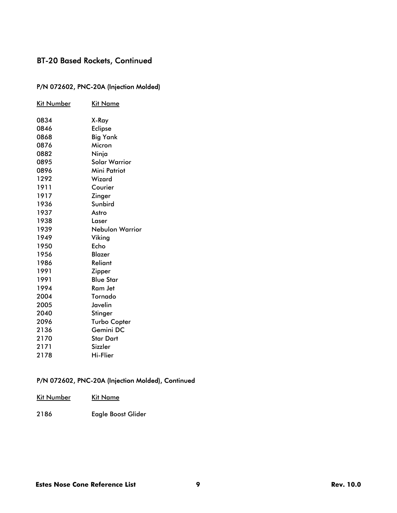### P/N 072602, PNC-20A (Injection Molded)

| Kit Number | Kit Name             |
|------------|----------------------|
| 0834       | X-Ray                |
| 0846       | <b>Eclipse</b>       |
| 0868       | <b>Big Yank</b>      |
| 0876       | Micron               |
| 0882       | Ninja                |
| 0895       | <b>Solar Warrior</b> |
| 0896       | Mini Patriot         |
| 1292       | Wizard               |
| 1911       | Courier              |
| 1917       | Zinger               |
| 1936       | Sunbird              |
| 1937       | Astro                |
| 1938       | Laser                |
| 1939       | Nebulon Warrior      |
| 1949       | Viking               |
| 1950       | Echo                 |
| 1956       | Blazer               |
| 1986       | Reliant              |
| 1991       | Zipper               |
| 1991       | <b>Blue Star</b>     |
| 1994       | Ram Jet              |
| 2004       | Tornado              |
| 2005       | Javelin              |
| 2040       | Stinger              |
| 2096       | <b>Turbo Copter</b>  |
| 2136       | Gemini DC            |
| 2170       | Star Dart            |
| 2171       | Sizzler              |
| 2178       | Hi-Flier             |

### P/N 072602, PNC-20A (Injection Molded), Continued

| Kit Number | Kit Name |  |  |
|------------|----------|--|--|
|            |          |  |  |

2186 Eagle Boost Glider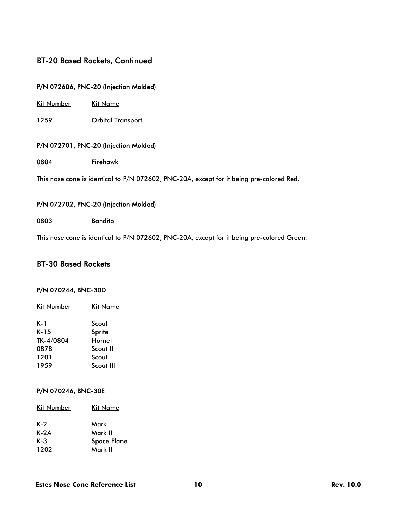### P/N 072606, PNC-20 (Injection Molded)

Kit Number Kit Name

1259 Orbital Transport

#### P/N 072701, PNC-20 (Injection Molded)

0804 Firehawk

This nose cone is identical to P/N 072602, PNC-20A, except for it being pre-colored Red.

#### P/N 072702, PNC-20 (Injection Molded)

0803 Bandito

This nose cone is identical to P/N 072602, PNC-20A, except for it being pre-colored Green.

### BT-30 Based Rockets

#### P/N 070244, BNC-30D

| Kit Number | Kit Name  |
|------------|-----------|
| K-1        | Scout     |
| $K-15$     | Sprite    |
| TK-4/0804  | Hornet    |
| 0878       | Scout II  |
| 1201       | Scout     |
| 1959       | Scout III |

#### P/N 070246, BNC-30E

| Kit Number | Kit Name           |
|------------|--------------------|
| K-2        | Mark               |
| $K-2A$     | Mark II            |
| K-3        | <b>Space Plane</b> |
| 1202       | Mark II            |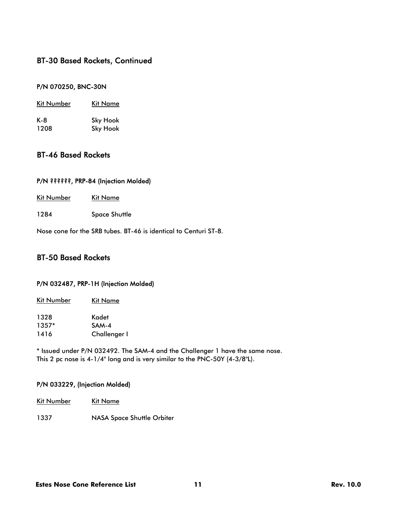#### P/N 070250, BNC-30N

| Kit Number | Kit Name        |  |
|------------|-----------------|--|
| K-8        | <b>Sky Hook</b> |  |
| 1208       | <b>Sky Hook</b> |  |

### BT-46 Based Rockets

#### P/N ??????, PRP-84 (Injection Molded)

- Kit Number Kit Name
- 1284 Space Shuttle

Nose cone for the SRB tubes. BT-46 is identical to Centuri ST-8.

### BT-50 Based Rockets

#### P/N 032487, PRP-1H (Injection Molded)

| Kit Number | Kit Name            |  |
|------------|---------------------|--|
| 1328       | Kadet               |  |
| $1357*$    | SAM-4               |  |
| 1416       | <b>Challenger I</b> |  |

\* Issued under P/N 032492. The SAM-4 and the Challenger 1 have the same nose. This 2 pc nose is 4-1/4" long and is very similar to the PNC-50Y (4-3/8"L).

#### P/N 033229, (Injection Molded)

- Kit Number Kit Name
- 1337 NASA Space Shuttle Orbiter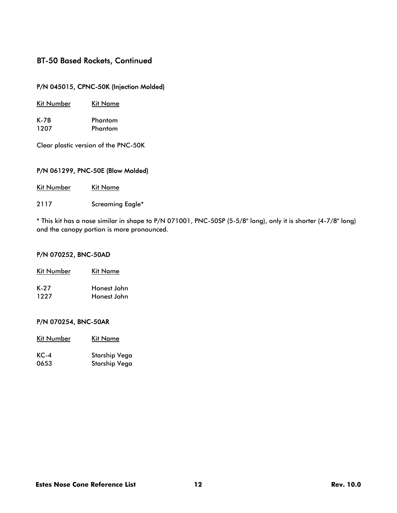### P/N 045015, CPNC-50K (Injection Molded)

| Kit Number | Kit Name |  |
|------------|----------|--|
| K-7B       | Phantom  |  |
| 1207       | Phantom  |  |

Clear plastic version of the PNC-50K

### P/N 061299, PNC-50E (Blow Molded)

| <b>Kit Number</b> |  | <b>Kit Name</b> |
|-------------------|--|-----------------|
|                   |  |                 |

2117 Screaming Eagle\*

\* This kit has a nose similar in shape to P/N 071001, PNC-50SP (5-5/8" long), only it is shorter (4-7/8" long) and the canopy portion is more pronounced.

#### P/N 070252, BNC-50AD

| Kit Number | Kit Name    |  |
|------------|-------------|--|
| K-27       | Honest John |  |
| 1227       | Honest John |  |

#### P/N 070254, BNC-50AR

| Kit Number   | Kit Name                                                                  |
|--------------|---------------------------------------------------------------------------|
|              |                                                                           |
| $\mathbf{z}$ | $\mathbf{c}_{1}$ , $\mathbf{c}_{2}$ , $\mathbf{c}_{3}$ , $\mathbf{c}_{4}$ |

| KC-4 | Starship Vega        |
|------|----------------------|
| 0653 | <b>Starship Vega</b> |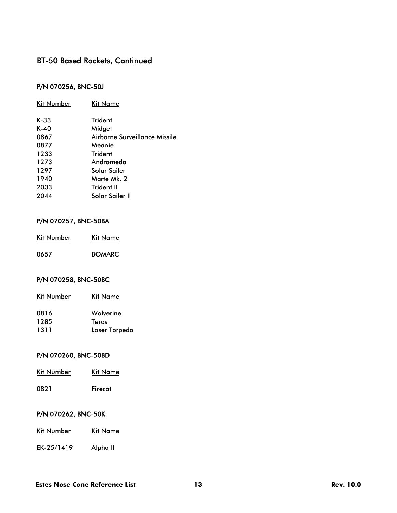### P/N 070256, BNC-50J

| Kit Number | Kit Name                      |
|------------|-------------------------------|
| $K-33$     | Trident                       |
| $K-40$     | Midget                        |
| 0867       | Airborne Surveillance Missile |
| 0877       | Meanie                        |
| 1233       | Trident                       |
| 1273       | Andromeda                     |
| 1297       | Solar Sailer                  |
| 1940       | Marte Mk. 2                   |
| 2033       | Trident II                    |
| 2044       | Solar Sailer II               |
|            |                               |

#### P/N 070257, BNC-50BA

| <b>Kit Number</b> | Kit Name      |
|-------------------|---------------|
| 0657              | <b>BOMARC</b> |

#### P/N 070258, BNC-50BC

| <b>Kit Number</b> | Kit Name      |
|-------------------|---------------|
| 0816              | Wolverine     |
| 1285              | Teros         |
| 1311              | Laser Torpedo |

### P/N 070260, BNC-50BD

| Kit Number | Kit Name |
|------------|----------|
| 0821       | Firecat  |

### P/N 070262, BNC-50K

| Kit Number | <b>Kit Name</b> |
|------------|-----------------|
|            |                 |

EK-25/1419 Alpha II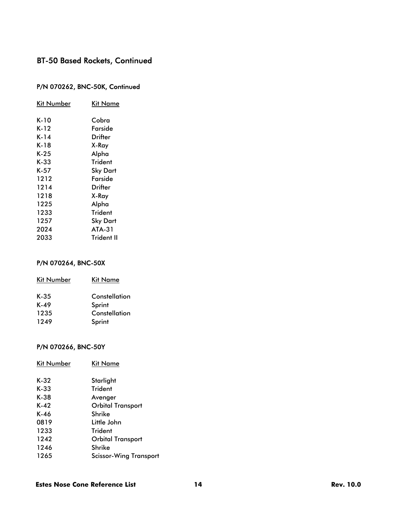### P/N 070262, BNC-50K, Continued

| Kit Number | Kit Name   |
|------------|------------|
| K-10       | Cobra      |
| K-12       | Farside    |
| K-14       | Drifter    |
| K-18       | X-Ray      |
| K-25       | Alpha      |
| K-33       | Trident    |
| K-57       | Sky Dart   |
| 1212       | Farside    |
| 1214       | Drifter    |
| 1218       | X-Ray      |
| 1225       | Alpha      |
| 1233       | Trident    |
| 1257       | Sky Dart   |
| 2024       | $ATA-31$   |
| 2033       | Trident II |

### P/N 070264, BNC-50X

| <b>Kit Number</b> | Kit Name      |
|-------------------|---------------|
| $K-35$            | Constellation |
| K-49              | Sprint        |
| 1235              | Constellation |
| 1249              | Sprint        |

### P/N 070266, BNC-50Y

| Kit Name                      |
|-------------------------------|
| Starlight                     |
| <b>Trident</b>                |
| Avenger                       |
| <b>Orbital Transport</b>      |
| Shrike                        |
| Little John                   |
| Trident                       |
| Orbital Transport             |
| Shrike                        |
| <b>Scissor-Wing Transport</b> |
|                               |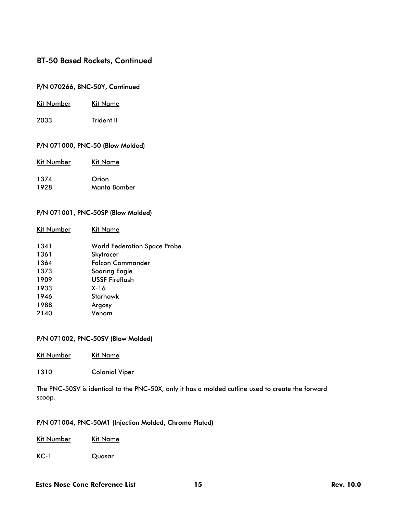#### P/N 070266, BNC-50Y, Continued

|  | Kit Number | <b>Kit Name</b> |
|--|------------|-----------------|
|--|------------|-----------------|

2033 Trident II

#### P/N 071000, PNC-50 (Blow Molded)

| <b>Kit Number</b> | Kit Name |
|-------------------|----------|
| 1374              | Orion    |

# 1928 Manta Bomber

#### P/N 071001, PNC-50SP (Blow Molded)

| Kit Number | Kit Name                            |
|------------|-------------------------------------|
| 1341       | <b>World Federation Space Probe</b> |
| 1361       | Skytracer                           |
| 1364       | Falcon Commander                    |
| 1373       | Soaring Eagle                       |
| 1909       | <b>USSF Fireflash</b>               |
| 1933       | X-16                                |
| 1946       | Starhawk                            |
| 1988       | Argosy                              |
| 2140       | Venom                               |
|            |                                     |

#### P/N 071002, PNC-50SV (Blow Molded)

Kit Number Kit Name

1310 Colonial Viper

The PNC-50SV is identical to the PNC-50X, only it has a molded cutline used to create the forward scoop.

#### P/N 071004, PNC-50M1 (Injection Molded, Chrome Plated)

KC-1 Quasar

#### **Estes Nose Cone Reference List 15 and 15 rev. 10.0** Rev. 10.0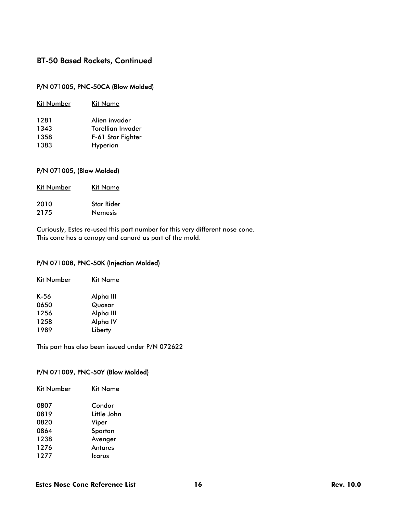### P/N 071005, PNC-50CA (Blow Molded)

| Kit Number | Kit Name                 |
|------------|--------------------------|
| 1281       | Alien invader            |
| 1343       | <b>Torellian Invader</b> |
| 1358       | F-61 Star Fighter        |
| 1383       | Hyperion                 |

#### P/N 071005, (Blow Molded)

| <b>Kit Number</b> | Kit Name          |
|-------------------|-------------------|
| 2010              | <b>Star Rider</b> |
| 2175              | <b>Nemesis</b>    |

Curiously, Estes re-used this part number for this very different nose cone. This cone has a canopy and canard as part of the mold.

#### P/N 071008, PNC-50K (Injection Molded)

| Kit Number | Kit Name  |
|------------|-----------|
| K-56       | Alpha III |
| 0650       | Quasar    |
| 1256       | Alpha III |
| 1258       | Alpha IV  |
| 1989       | Liberty   |
|            |           |

This part has also been issued under P/N 072622

#### P/N 071009, PNC-50Y (Blow Molded)

| Kit Number | Kit Name    |
|------------|-------------|
| 0807       | Condor      |
| 0819       | Little John |
| 0820       | Viper       |
| 0864       | Spartan     |
| 1238       | Avenger     |
| 1276       | Antares     |
| 1277       | lcarus      |
|            |             |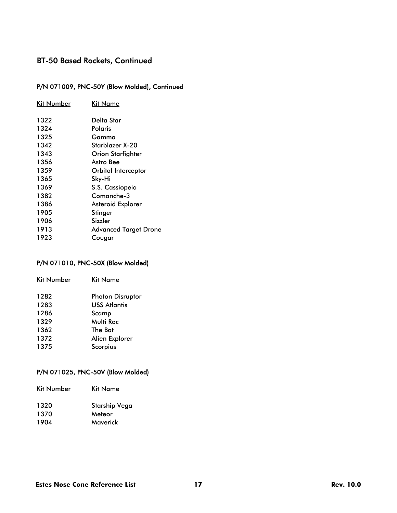# P/N 071009, PNC-50Y (Blow Molded), Continued

| Kit Number | <b>Kit Name</b>              |
|------------|------------------------------|
| 1322       | Delta Star                   |
| 1324       | Polaris                      |
| 1325       | Gamma                        |
| 1342       | Starblazer X-20              |
| 1343       | <b>Orion Starfighter</b>     |
| 1356       | Astro Bee                    |
| 1359       | Orbital Interceptor          |
| 1365       | Sky-Hi                       |
| 1369       | S.S. Cassiopeia              |
| 1382       | Comanche-3                   |
| 1386       | Asteroid Explorer            |
| 1905       | Stinger                      |
| 1906       | Sizzler                      |
| 1913       | <b>Advanced Target Drone</b> |
| 1923       | Cougar                       |

### P/N 071010, PNC-50X (Blow Molded)

| <b>Kit Number</b> | <b>Kit Name</b>         |
|-------------------|-------------------------|
| 1282              | <b>Photon Disruptor</b> |
| 1283              | <b>USS Atlantis</b>     |
| 1286              | Scamp                   |
| 1329              | Multi Roc               |
| 1362              | The Bat                 |
| 1372              | Alien Explorer          |
| 1375              | Scorpius                |

### P/N 071025, PNC-50V (Blow Molded)

| Kit Number | Kit Name      |
|------------|---------------|
| 1320       | Starship Vega |
| 1370       | Meteor        |
| 1904       | Maverick      |
|            |               |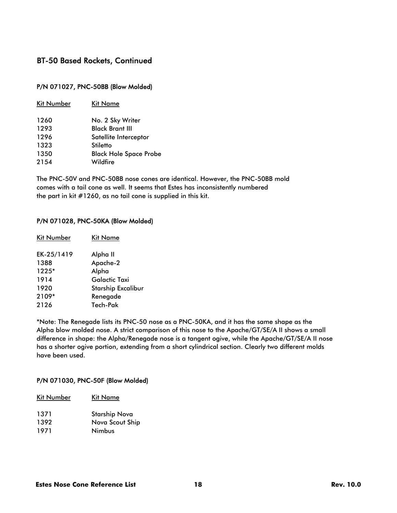#### P/N 071027, PNC-50BB (Blow Molded)

| Kit Number | <b>Kit Name</b>               |
|------------|-------------------------------|
| 1260       | No. 2 Sky Writer              |
| 1293       | <b>Black Brant III</b>        |
| 1296       | Satellite Interceptor         |
| 1323       | Stiletto                      |
| 1350       | <b>Black Hole Space Probe</b> |
| 2154       | Wildfire                      |
|            |                               |

The PNC-50V and PNC-50BB nose cones are identical. However, the PNC-50BB mold comes with a tail cone as well. It seems that Estes has inconsistently numbered the part in kit #1260, as no tail cone is supplied in this kit.

#### P/N 071028, PNC-50KA (Blow Molded)

| Alpha II                  |
|---------------------------|
| Apache-2                  |
| Alpha                     |
| Galactic Taxi             |
| <b>Starship Excalibur</b> |
| Renegade                  |
| Tech-Pak                  |
|                           |

\*Note: The Renegade lists its PNC-50 nose as a PNC-50KA, and it has the same shape as the Alpha blow molded nose. A strict comparison of this nose to the Apache/GT/SE/A II shows a small difference in shape: the Alpha/Renegade nose is a tangent ogive, while the Apache/GT/SE/A II nose has a shorter ogive portion, extending from a short cylindrical section. Clearly two different molds have been used.

#### P/N 071030, PNC-50F (Blow Molded)

| Kit Name             |
|----------------------|
| <b>Starship Nova</b> |
| Nova Scout Ship      |
| Nimbus               |
|                      |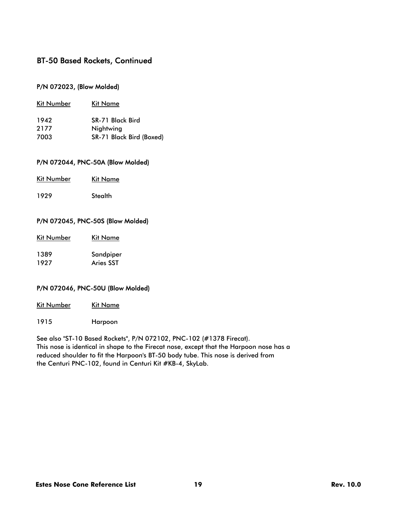#### P/N 072023, (Blow Molded)

| Kit Number | Kit Name                 |
|------------|--------------------------|
| 1942       | SR-71 Black Bird         |
| 2177       | Nightwing                |
| 7003       | SR-71 Black Bird (Boxed) |

#### P/N 072044, PNC-50A (Blow Molded)

| <b>Kit Number</b> |  | <b>Kit Name</b> |
|-------------------|--|-----------------|
|                   |  |                 |

1929 Stealth

#### P/N 072045, PNC-50S (Blow Molded)

| <b>Kit Number</b> | Kit Name |
|-------------------|----------|
|                   |          |

1389 Sandpiper 1927 Aries SST

#### P/N 072046, PNC-50U (Blow Molded)

| Kit Number |  | <b>Kit Name</b> |
|------------|--|-----------------|
|            |  |                 |

1915 Harpoon

See also "ST-10 Based Rockets", P/N 072102, PNC-102 (#1378 Firecat). This nose is identical in shape to the Firecat nose, except that the Harpoon nose has a reduced shoulder to fit the Harpoon's BT-50 body tube. This nose is derived from the Centuri PNC-102, found in Centuri Kit #KB-4, SkyLab.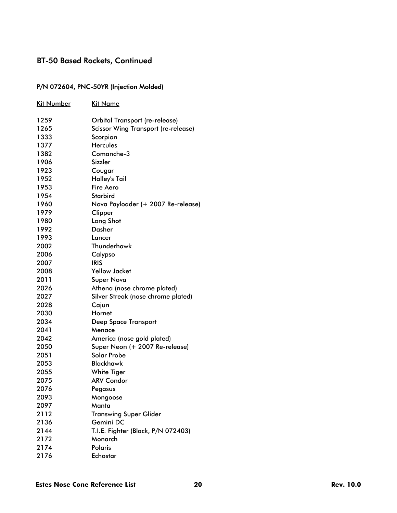### P/N 072604, PNC-50YR (Injection Molded)

| <u>Kit Number</u> | <u>Kit Name</u>                            |
|-------------------|--------------------------------------------|
| 1259              | Orbital Transport (re-release)             |
| 1265              | <b>Scissor Wing Transport (re-release)</b> |
| 1333              | Scorpion                                   |
| 1377              | <b>Hercules</b>                            |
| 1382              | Comanche-3                                 |
| 1906              | Sizzler                                    |
| 1923              | Cougar                                     |
| 1952              | Halley's Tail                              |
| 1953              | Fire Aero                                  |
| 1954              | <b>Starbird</b>                            |
| 1960              | Nova Payloader (+ 2007 Re-release)         |
| 1979              | Clipper                                    |
| 1980              | Long Shot                                  |
| 1992              | <b>Dasher</b>                              |
| 1993              | Lancer                                     |
| 2002              | Thunderhawk                                |
| 2006              | Calypso                                    |
| 2007              | IRIS                                       |
| 2008              | <b>Yellow Jacket</b>                       |
| 2011              | <b>Super Nova</b>                          |
| 2026              | Athena (nose chrome plated)                |
| 2027              | Silver Streak (nose chrome plated)         |
| 2028              | Cajun                                      |
| 2030              | Hornet                                     |
| 2034              | <b>Deep Space Transport</b>                |
| 2041              | Menace                                     |
| 2042              | America (nose gold plated)                 |
| 2050              | Super Neon (+ 2007 Re-release)             |
| 2051              | Solar Probe                                |
| 2053              | Blackhawk                                  |
| 2055              | <b>White Tiger</b>                         |
| 2075              | <b>ARV Condor</b>                          |
| 2076              | Pegasus                                    |
| 2093              | Mongoose                                   |
| 2097              | Manta                                      |
| 2112              | <b>Transwing Super Glider</b>              |
| 2136              | Gemini DC                                  |
| 2144              | T.I.E. Fighter (Black, P/N 072403)         |
| 2172              | Monarch                                    |
| 2174              | Polaris                                    |
| 2176              | Echostar                                   |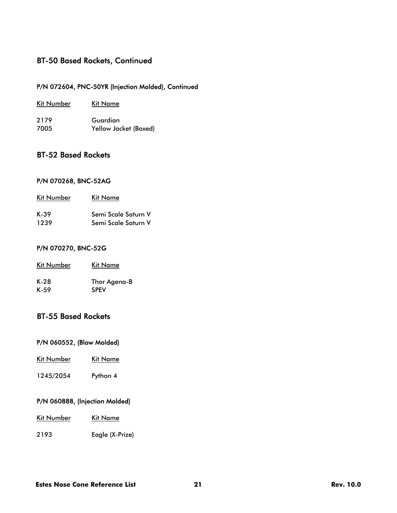### P/N 072604, PNC-50YR (Injection Molded), Continued

| Kit Number | Kit Name              |
|------------|-----------------------|
| 2179       | Guardian              |
| 7005       | Yellow Jacket (Boxed) |

## BT-52 Based Rockets

#### P/N 070268, BNC-52AG

| Kit Name            |
|---------------------|
| Semi Scale Saturn V |
| Semi Scale Saturn V |
|                     |

#### P/N 070270, BNC-52G

| <b>Kit Number</b> | Kit Name     |
|-------------------|--------------|
| K-28              | Thor Agena-B |
| K-59              | <b>SPEV</b>  |

### BT-55 Based Rockets

#### P/N 060552, (Blow Molded)

- Kit Number Kit Name
- 1245/2054 Python 4

#### P/N 060888, (Injection Molded)

- Kit Number Kit Name
- 2193 Eagle (X-Prize)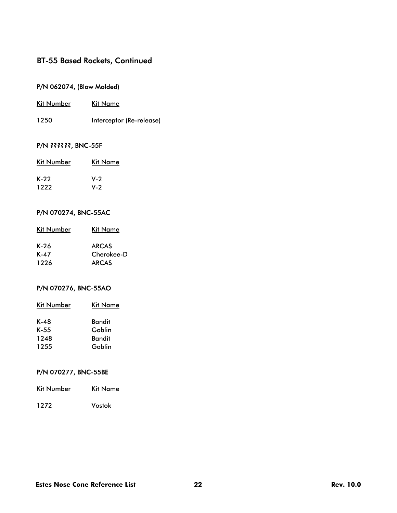### P/N 062074, (Blow Molded)

| Kit Number | Kit Name                 |
|------------|--------------------------|
| 1250       | Interceptor (Re-release) |

### P/N ??????, BNC-55F

| <b>Kit Number</b> | Kit Name |
|-------------------|----------|
| K-22              | $V-2$    |
| 1222              | $V-2$    |

#### P/N 070274, BNC-55AC

| Kit Number | Kit Name     |
|------------|--------------|
| K-26       | <b>ARCAS</b> |
| $K-47$     | Cherokee-D   |
| 1226       | <b>ARCAS</b> |

### P/N 070276, BNC-55AO

| Kit Number | Kit Name |
|------------|----------|
| K-48       | Bandit   |
| $K-55$     | Goblin   |
| 1248       | Bandit   |
| 1255       | Goblin   |

### P/N 070277, BNC-55BE

| <b>Kit Number</b> | Kit Name |
|-------------------|----------|
| 1272              | Vostok   |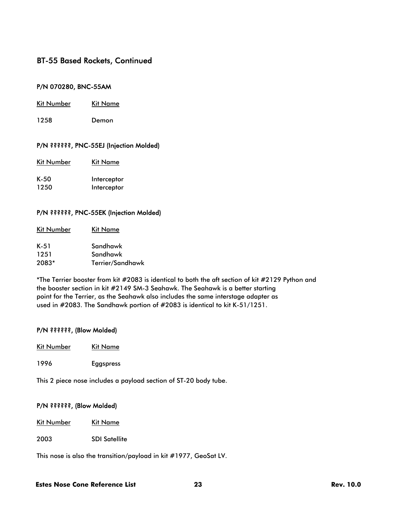#### P/N 070280, BNC-55AM

- Kit Number Kit Name
- 1258 Demon

#### P/N ??????, PNC-55EJ (Injection Molded)

| Kit Number | Kit Name |
|------------|----------|
|            |          |

K-50 Interceptor 1250 Interceptor

#### P/N ??????, PNC-55EK (Injection Molded)

| Kit Number | Kit Name         |
|------------|------------------|
| K-51       | Sandhawk         |
| 1251       | Sandhawk         |
| 2083*      | Terrier/Sandhawk |

\*The Terrier booster from kit #2083 is identical to both the aft section of kit #2129 Python and the booster section in kit #2149 SM-3 Seahawk. The Seahawk is a better starting point for the Terrier, as the Seahawk also includes the same interstage adapter as used in #2083. The Sandhawk portion of #2083 is identical to kit K-51/1251.

#### P/N ??????, (Blow Molded)

- Kit Number Kit Name
- 1996 Eggspress

This 2 piece nose includes a payload section of ST-20 body tube.

#### P/N ??????, (Blow Molded)

Kit Number Kit Name

2003 SDI Satellite

This nose is also the transition/payload in kit #1977, GeoSat LV.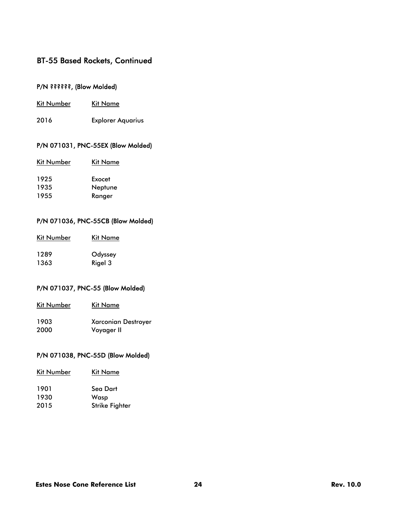### P/N ??????, (Blow Molded)

- Kit Number Kit Name
- 2016 Explorer Aquarius

#### P/N 071031, PNC-55EX (Blow Molded)

| <b>Kit Number</b> | <b>Kit Name</b> |
|-------------------|-----------------|
| 1925              | Exocet          |
| 1935              | Neptune         |
| 1955              | Ranger          |

#### P/N 071036, PNC-55CB (Blow Molded)

| Kit Number | Kit Name |
|------------|----------|
| 1289       | Odyssey  |
| 1363       | Rigel 3  |

#### P/N 071037, PNC-55 (Blow Molded)

| <b>Kit Number</b> | Kit Name                   |
|-------------------|----------------------------|
| 1903              | <b>Xarconian Destroyer</b> |
| 2000              | Voyager II                 |

### P/N 071038, PNC-55D (Blow Molded)

| <b>Kit Number</b> | Kit Name              |
|-------------------|-----------------------|
| 1901              | Sea Dart              |
| 1930              | Wasp                  |
| 2015              | <b>Strike Fighter</b> |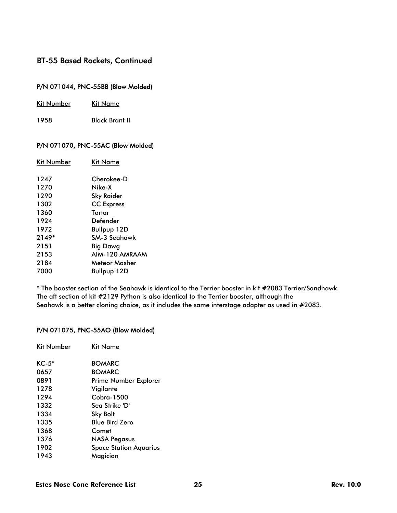### P/N 071044, PNC-55BB (Blow Molded)

|  | <b>Kit Number</b> | Kit Name |
|--|-------------------|----------|
|--|-------------------|----------|

1958 Black Brant II

#### P/N 071070, PNC-55AC (Blow Molded)

| Kit Number | Kit Name           |
|------------|--------------------|
| 1247       | Cherokee-D         |
| 1270       | Nike-X             |
| 1290       | Sky Raider         |
| 1302       | <b>CC</b> Express  |
| 1360       | Tartar             |
| 1924       | Defender           |
| 1972       | Bullpup 12D        |
| 2149*      | SM-3 Seahawk       |
| 2151       | Big Dawg           |
| 2153       | AIM-120 AMRAAM     |
| 2184       | Meteor Masher      |
| 7000       | <b>Bullpup 12D</b> |
|            |                    |

\* The booster section of the Seahawk is identical to the Terrier booster in kit #2083 Terrier/Sandhawk. The aft section of kit #2129 Python is also identical to the Terrier booster, although the Seahawk is a better cloning choice, as it includes the same interstage adapter as used in #2083.

#### P/N 071075, PNC-55AO (Blow Molded)

| Kit Name                      |
|-------------------------------|
| <b>BOMARC</b>                 |
| <b>BOMARC</b>                 |
| Prime Number Explorer         |
| Vigilante                     |
| Cobra-1500                    |
| Sea Strike 'D'                |
| <b>Sky Bolt</b>               |
| <b>Blue Bird Zero</b>         |
| Comet                         |
| <b>NASA Pegasus</b>           |
| <b>Space Station Aquarius</b> |
| Magician                      |
|                               |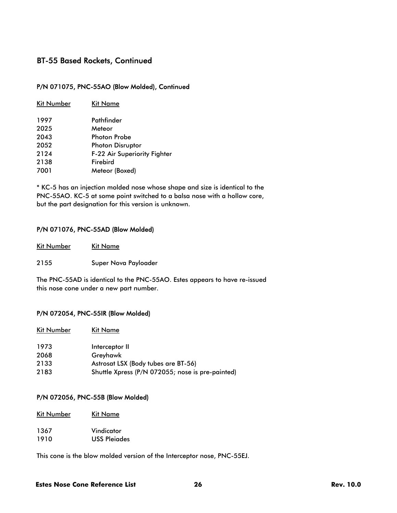#### P/N 071075, PNC-55AO (Blow Molded), Continued

| <b>Kit Number</b> | Kit Name                            |
|-------------------|-------------------------------------|
| 1997              | Pathfinder                          |
| 2025              | Meteor                              |
| 2043              | <b>Photon Probe</b>                 |
| 2052              | <b>Photon Disruptor</b>             |
| 2124              | <b>F-22 Air Superiority Fighter</b> |
| 2138              | Firebird                            |
| 7001              | Meteor (Boxed)                      |

\* KC-5 has an injection molded nose whose shape and size is identical to the PNC-55AO. KC-5 at some point switched to a balsa nose with a hollow core, but the part designation for this version is unknown.

#### P/N 071076, PNC-55AD (Blow Molded)

| Kit Number | Kit Name             |
|------------|----------------------|
| 2155       | Super Nova Payloader |

The PNC-55AD is identical to the PNC-55AO. Estes appears to have re-issued this nose cone under a new part number.

#### P/N 072054, PNC-55IR (Blow Molded)

| <b>Kit Number</b> | Kit Name                                         |
|-------------------|--------------------------------------------------|
| 1973              | Interceptor II                                   |
| 2068              | Greyhawk                                         |
| 2133              | Astrosat LSX (Body tubes are BT-56)              |
| 2183              | Shuttle Xpress (P/N 072055; nose is pre-painted) |

#### P/N 072056, PNC-55B (Blow Molded)

Kit Number Kit Name

| 1367 | Vindicator          |
|------|---------------------|
| 1910 | <b>USS Pleigdes</b> |

This cone is the blow molded version of the Interceptor nose, PNC-55EJ.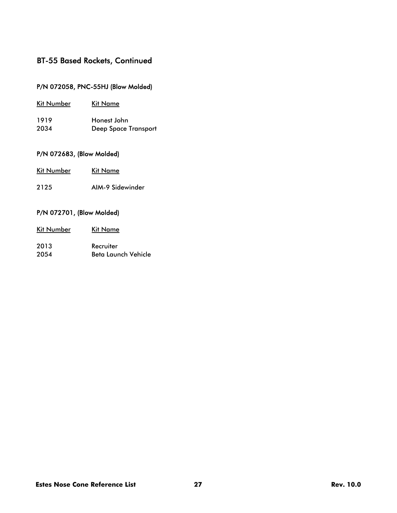### P/N 072058, PNC-55HJ (Blow Molded)

| Kit Number | Kit Name                    |
|------------|-----------------------------|
| 1919       | Honest John                 |
| 2034       | <b>Deep Space Transport</b> |

### P/N 072683, (Blow Molded)

| Kit Number | Kit Name         |
|------------|------------------|
| 2125       | AIM-9 Sidewinder |

### P/N 072701, (Blow Molded)

| Kit Name            |
|---------------------|
| Recruiter           |
| Beta Launch Vehicle |
|                     |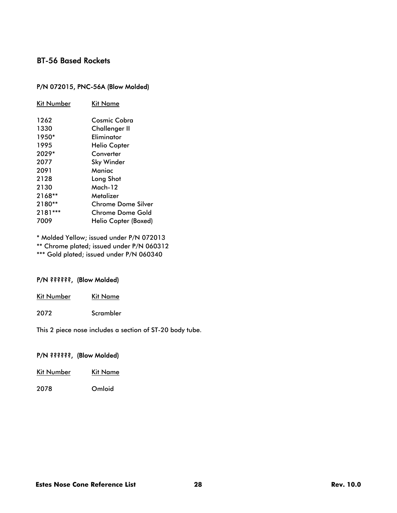# BT-56 Based Rockets

### P/N 072015, PNC-56A (Blow Molded)

| Kit Number | <b>Kit Name</b>           |
|------------|---------------------------|
| 1262       | Cosmic Cobra              |
| 1330       | <b>Challenger II</b>      |
| 1950*      | Eliminator                |
| 1995       | <b>Helio Copter</b>       |
| 2029*      | Converter                 |
| 2077       | Sky Winder                |
| 2091       | Maniac                    |
| 2128       | Long Shot                 |
| 2130       | Mach-12                   |
| 2168**     | Metalizer                 |
| $2180**$   | <b>Chrome Dome Silver</b> |
| 2181***    | Chrome Dome Gold          |
| 7009       | Helio Copter (Boxed)      |
|            |                           |

\* Molded Yellow; issued under P/N 072013

\*\* Chrome plated; issued under P/N 060312

\*\*\* Gold plated; issued under P/N 060340

#### P/N ??????, (Blow Molded)

| Kit Number | Kit Name  |
|------------|-----------|
| 2072       | Scrambler |

This 2 piece nose includes a section of ST-20 body tube.

### P/N ??????, (Blow Molded)

| Kit Number | Kit Name |
|------------|----------|
| 2078       | Omloid   |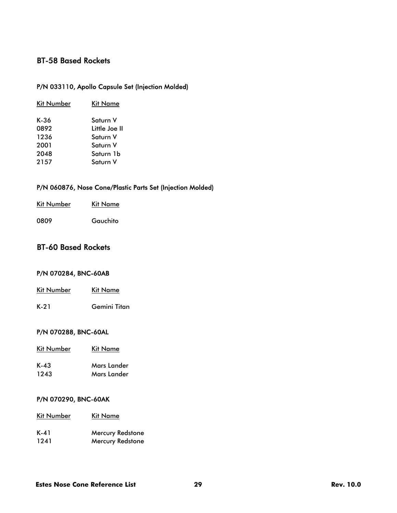# BT-58 Based Rockets

### P/N 033110, Apollo Capsule Set (Injection Molded)

| <b>Kit Number</b> | Kit Name      |
|-------------------|---------------|
| $K-36$            | Saturn V      |
| 0892              | Little Joe II |
| 1236              | Saturn V      |
| 2001              | Saturn V      |
| 2048              | Saturn 1b     |
| 2157              | Saturn V      |
|                   |               |

### P/N 060876, Nose Cone/Plastic Parts Set (Injection Molded)

| Kit Number | Kit Name |
|------------|----------|
| 0809       | Gauchito |

# BT-60 Based Rockets

### P/N 070284, BNC-60AB

| Kit Number | Kit Name     |
|------------|--------------|
| K-21       | Gemini Titan |

### P/N 070288, BNC-60AL

| <b>Kit Number</b> | Kit Name           |
|-------------------|--------------------|
| $K-43$            | <b>Mars Lander</b> |
| 1243              | <b>Mars Lander</b> |

#### P/N 070290, BNC-60AK

| <b>Kit Number</b> | Kit Name                |
|-------------------|-------------------------|
| K-41              | <b>Mercury Redstone</b> |
| 1241              | <b>Mercury Redstone</b> |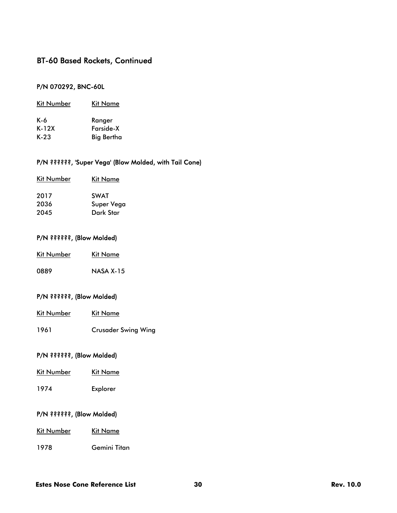### P/N 070292, BNC-60L

| Kit Number | Kit Name   |
|------------|------------|
| K-6        | Ranger     |
| $K-12X$    | Farside-X  |
| $K-23$     | Big Bertha |

### P/N ??????, 'Super Vega' (Blow Molded, with Tail Cone)

| <b>Kit Number</b> | <b>Kit Name</b> |
|-------------------|-----------------|
| 2017              | <b>SWAT</b>     |
| 2036              | Super Vega      |
| 2045              | Dark Star       |
|                   |                 |

### P/N ??????, (Blow Molded)

| Kit Number | Kit Name         |
|------------|------------------|
| 0889       | <b>NASA X-15</b> |

#### P/N ??????, (Blow Molded)

| Kit Number | Kit Name |
|------------|----------|
|            |          |

1961 Crusader Swing Wing

### P/N ??????, (Blow Molded)

| Kit Number | Kit Name |
|------------|----------|
| 1974       | Explorer |

### P/N ??????, (Blow Molded)

| Kit Number | Kit Name |  |
|------------|----------|--|
|            |          |  |

1978 Gemini Titan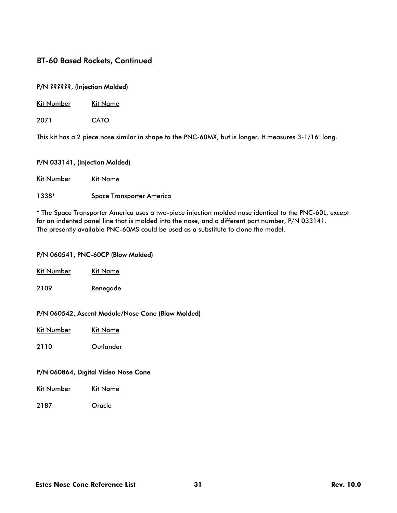#### P/N ??????, (Injection Molded)

| Kit Number | Kit Name |
|------------|----------|
|------------|----------|

2071 CATO

This kit has a 2 piece nose similar in shape to the PNC-60MX, but is longer. It measures 3-1/16" long.

#### P/N 033141, (Injection Molded)

Kit Number Kit Name

1338\* Space Transporter America

\* The Space Transporter America uses a two-piece injection molded nose identical to the PNC-60L, except for an indented panel line that is molded into the nose, and a different part number, P/N 033141. The presently available PNC-60MS could be used as a substitute to clone the model.

#### P/N 060541, PNC-60CP (Blow Molded)

| Kit Number | Kit Name |
|------------|----------|
| 2109       | Renegade |

#### P/N 060542, Ascent Module/Nose Cone (Blow Molded)

| Kit Number | <b>Kit Name</b> |
|------------|-----------------|
|            |                 |

2110 Outlander

#### P/N 060864, Digital Video Nose Cone

| <b>Kit Number</b> | <b>Kit Name</b> |
|-------------------|-----------------|
|                   |                 |

2187 Oracle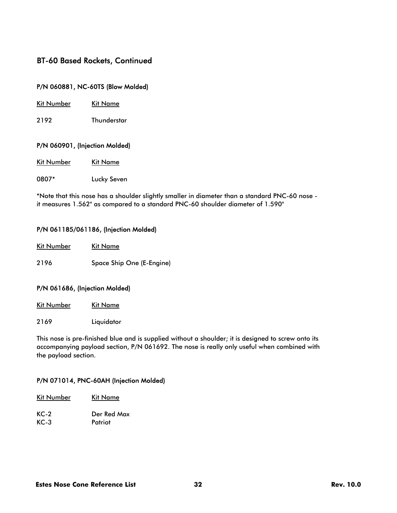#### P/N 060881, NC-60TS (Blow Molded)

| Kit Number |
|------------|
|------------|

2192 Thunderstar

#### P/N 060901, (Injection Molded)

| <b>Kit Number</b> | Kit Name |
|-------------------|----------|
|                   |          |

0807\* Lucky Seven

\*Note that this nose has a shoulder slightly smaller in diameter than a standard PNC-60 nose it measures 1.562" as compared to a standard PNC-60 shoulder diameter of 1.590"

#### P/N 061185/061186, (Injection Molded)

| <b>Kit Number</b> | Kit Name                  |
|-------------------|---------------------------|
| 2196              | Space Ship One (E-Engine) |

#### P/N 061686, (Injection Molded)

Kit Number Kit Name

2169 Liquidator

This nose is pre-finished blue and is supplied without a shoulder; it is designed to screw onto its accompanying payload section, P/N 061692. The nose is really only useful when combined with the payload section.

#### P/N 071014, PNC-60AH (Injection Molded)

| <b>Kit Number</b> | Kit Name    |
|-------------------|-------------|
| $KC-2$            | Der Red Max |
| $KC-3$            | Patriot     |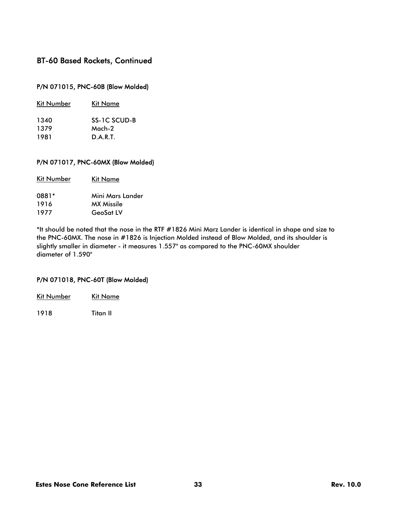### P/N 071015, PNC-60B (Blow Molded)

| Kit Name     |
|--------------|
| SS-1C SCUD-B |
| $Mach-2$     |
| DART         |
|              |

#### P/N 071017, PNC-60MX (Blow Molded)

| <b>Kit Number</b> | Kit Name         |
|-------------------|------------------|
| 0881*             | Mini Mars Lander |
| 1916              | MX Missile       |
| 1977              | <b>GeoSat LV</b> |
|                   |                  |

\*It should be noted that the nose in the RTF #1826 Mini Marz Lander is identical in shape and size to the PNC-60MX. The nose in #1826 is Injection Molded instead of Blow Molded, and its shoulder is slightly smaller in diameter - it measures 1.557" as compared to the PNC-60MX shoulder diameter of 1.590"

#### P/N 071018, PNC-60T (Blow Molded)

| <b>Kit Number</b> | Kit Name |
|-------------------|----------|
|                   |          |

1918 Titan II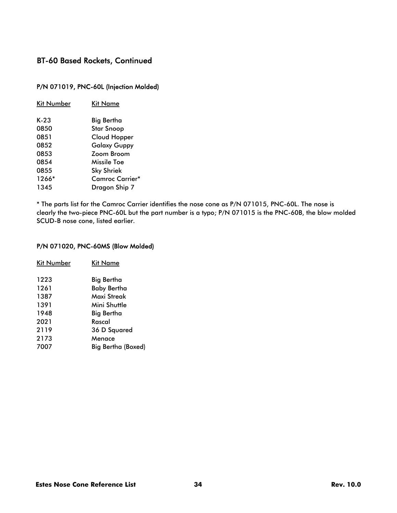### P/N 071019, PNC-60L (Injection Molded)

| Kit Number | Kit Name               |
|------------|------------------------|
| K-23       | Big Bertha             |
| 0850       | Star Snoop             |
| 0851       | Cloud Hopper           |
| 0852       | <b>Galaxy Guppy</b>    |
| 0853       | <b>Zoom Broom</b>      |
| 0854       | Missile Toe            |
| 0855       | <b>Sky Shriek</b>      |
| 1266*      | <b>Camroc Carrier*</b> |
| 1345       | Dragon Ship 7          |
|            |                        |

\* The parts list for the Camroc Carrier identifies the nose cone as P/N 071015, PNC-60L. The nose is clearly the two-piece PNC-60L but the part number is a typo; P/N 071015 is the PNC-60B, the blow molded SCUD-B nose cone, listed earlier.

#### P/N 071020, PNC-60MS (Blow Molded)

| Kit Number | Kit Name           |
|------------|--------------------|
| 1223       | Big Bertha         |
| 1261       | <b>Baby Bertha</b> |
| 1387       | Maxi Streak        |
| 1391       | Mini Shuttle       |
| 1948       | Big Bertha         |
| 2021       | Rascal             |
| 2119       | 36 D Squared       |
| 2173       | Menace             |
| 7007       | Big Bertha (Boxed) |
|            |                    |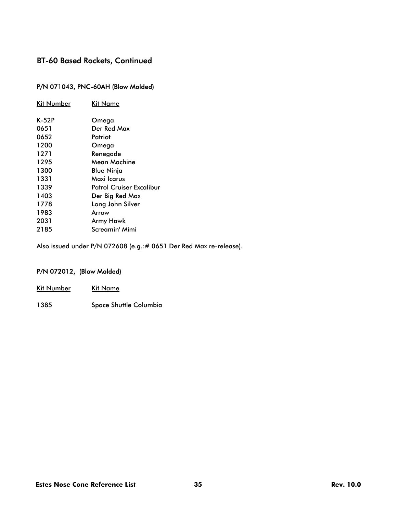### P/N 071043, PNC-60AH (Blow Molded)

| Kit Number | Kit Name                 |
|------------|--------------------------|
| K-52P      | Omega                    |
| 0651       | Der Red Max              |
| 0652       | Patriot                  |
| 1200       | Omega                    |
| 1271       | Renegade                 |
| 1295       | Mean Machine             |
| 1300       | Blue Ninja               |
| 1331       | Maxi Icarus              |
| 1339       | Patrol Cruiser Excalibur |
| 1403       | Der Big Red Max          |
| 1778       | Long John Silver         |
| 1983       | Arrow                    |
| 2031       | Army Hawk                |
| 2185       | Screamin' Mimi           |

Also issued under P/N 072608 (e.g.:# 0651 Der Red Max re-release).

### P/N 072012, (Blow Molded)

| <b>Kit Number</b> | Kit Name                      |
|-------------------|-------------------------------|
| 1385              | <b>Space Shuttle Columbia</b> |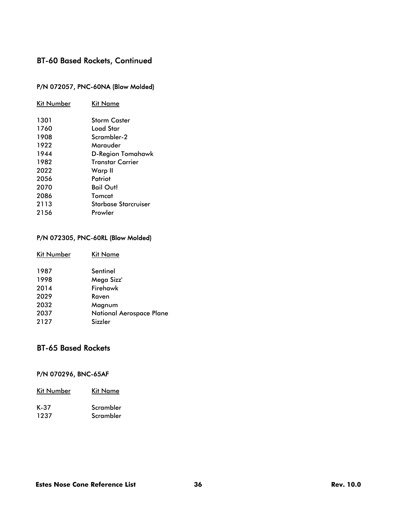### P/N 072057, PNC-60NA (Blow Molded)

| Kit Number | Kit Name                |
|------------|-------------------------|
| 1301       | <b>Storm Caster</b>     |
| 1760       | Load Star               |
| 1908       | Scrambler-2             |
| 1922       | Marauder                |
| 1944       | D-Region Tomahawk       |
| 1982       | <b>Transtar Carrier</b> |
| 2022       | Warp II                 |
| 2056       | Patriot                 |
| 2070       | Bail Out!               |
| 2086       | Tomcat                  |
| 2113       | Starbase Starcruiser    |
| 2156       | Prowler                 |
|            |                         |

### P/N 072305, PNC-60RL (Blow Molded)

| <b>Kit Number</b> | Kit Name                        |
|-------------------|---------------------------------|
| 1987              | Sentinel                        |
| 1998              | Mega Sizz'                      |
| 2014              | Firehawk                        |
| 2029              | Raven                           |
| 2032              | Magnum                          |
| 2037              | <b>National Aerospace Plane</b> |
| 2127              | Sizzler                         |
|                   |                                 |

# BT-65 Based Rockets

### P/N 070296, BNC-65AF

| Kit Number | Kit Name  |
|------------|-----------|
| K-37       | Scrambler |
| 1237       | Scrambler |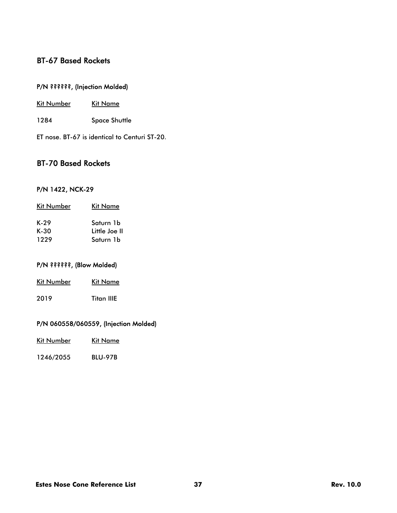# BT-67 Based Rockets

### P/N ??????, (Injection Molded)

- Kit Number Kit Name
- 1284 Space Shuttle
- ET nose. BT-67 is identical to Centuri ST-20.

### BT-70 Based Rockets

#### P/N 1422, NCK-29

| Kit Number | Kit Name      |
|------------|---------------|
| K-29       | Saturn 1b     |
| $K-30$     | Little Joe II |
| 1229       | Saturn 1b     |

### P/N ??????, (Blow Molded)

| Kit Number | Kit Name   |  |
|------------|------------|--|
| 2019       | Titan IIIE |  |

#### P/N 060558/060559, (Injection Molded)

| Kit Number | <b>Kit Name</b> |
|------------|-----------------|
|            |                 |

1246/2055 BLU-97B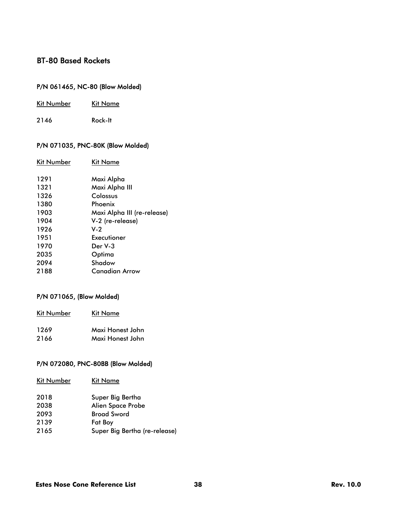## BT-80 Based Rockets

### P/N 061465, NC-80 (Blow Molded)

| <b>Kit Number</b><br><b>Kit Name</b> |
|--------------------------------------|
|--------------------------------------|

2146 Rock-It

### P/N 071035, PNC-80K (Blow Molded)

| Kit Number | Kit Name                    |
|------------|-----------------------------|
| 1291       | Maxi Alpha                  |
| 1321       | Maxi Alpha III              |
| 1326       | Colossus                    |
| 1380       | Phoenix                     |
| 1903       | Maxi Alpha III (re-release) |
| 1904       | V-2 (re-release)            |
| 1926       | $V-2$                       |
| 1951       | Executioner                 |
| 1970       | Der V-3                     |
| 2035       | Optima                      |
| 2094       | Shadow                      |
| 2188       | Canadian Arrow              |
|            |                             |

### P/N 071065, (Blow Molded)

| <b>Kit Number</b> | Kit Name         |
|-------------------|------------------|
| 1269              | Maxi Honest John |
| 2166              | Maxi Honest John |

#### P/N 072080, PNC-80BB (Blow Molded)

| Kit Number | Kit Name                      |
|------------|-------------------------------|
| 2018       | Super Big Bertha              |
| 2038       | <b>Alien Space Probe</b>      |
| 2093       | <b>Broad Sword</b>            |
| 2139       | <b>Fat Boy</b>                |
| 2165       | Super Big Bertha (re-release) |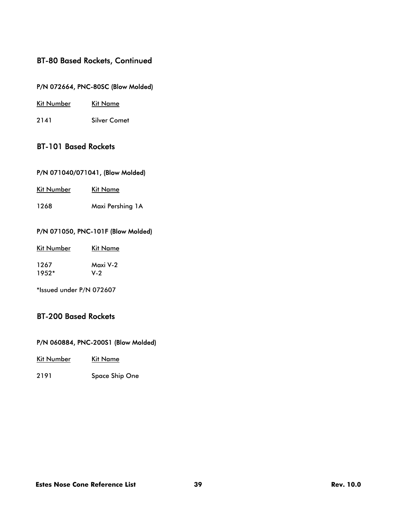### P/N 072664, PNC-80SC (Blow Molded)

- Kit Number Kit Name
- 2141 Silver Comet

### BT-101 Based Rockets

### P/N 071040/071041, (Blow Molded)

| <b>Kit Number</b> | Kit Name |
|-------------------|----------|
|                   |          |

1268 Maxi Pershing 1A

#### P/N 071050, PNC-101F (Blow Molded)

| Kit Number | Kit Name |
|------------|----------|
| 1267       | Maxi V-2 |
| $1952*$    | V-2      |

\*Issued under P/N 072607

### BT-200 Based Rockets

#### P/N 060884, PNC-200S1 (Blow Molded)

- Kit Number Kit Name
- 2191 Space Ship One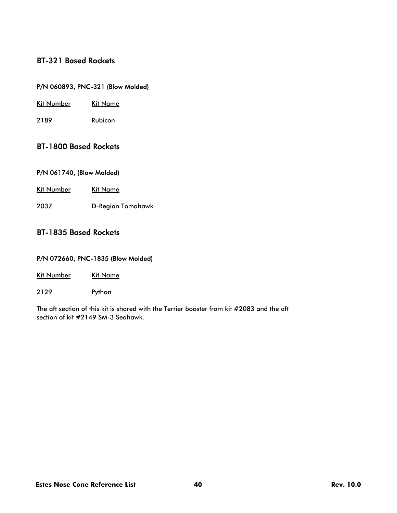### BT-321 Based Rockets

### P/N 060893, PNC-321 (Blow Molded)

- Kit Number Kit Name
- 2189 Rubicon

### BT-1800 Based Rockets

#### P/N 061740, (Blow Molded)

Kit Number Kit Name

2037 D-Region Tomahawk

### BT-1835 Based Rockets

#### P/N 072660, PNC-1835 (Blow Molded)

Kit Number Kit Name

2129 Python

The aft section of this kit is shared with the Terrier booster from kit #2083 and the aft section of kit #2149 SM-3 Seahawk.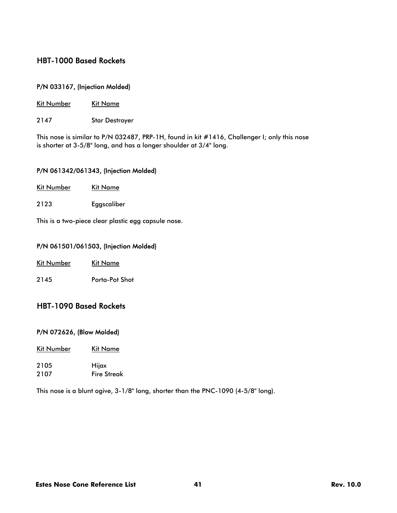### HBT-1000 Based Rockets

#### P/N 033167, (Injection Molded)

Kit Number Kit Name

2147 Star Destroyer

This nose is similar to P/N 032487, PRP-1H, found in kit #1416, Challenger I; only this nose is shorter at 3-5/8" long, and has a longer shoulder at 3/4" long.

#### P/N 061342/061343, (Injection Molded)

| Kit Number | Kit Name |
|------------|----------|
|            |          |

2123 Eggscaliber

This is a two-piece clear plastic egg capsule nose.

#### P/N 061501/061503, (Injection Molded)

| <b>Kit Number</b> | Kit Name |
|-------------------|----------|
|                   |          |

2145 Porta-Pot Shot

### HBT-1090 Based Rockets

#### P/N 072626, (Blow Molded)

- Kit Number Kit Name
- 2105 Hijax 2107 Fire Streak

This nose is a blunt ogive, 3-1/8" long, shorter than the PNC-1090 (4-5/8" long).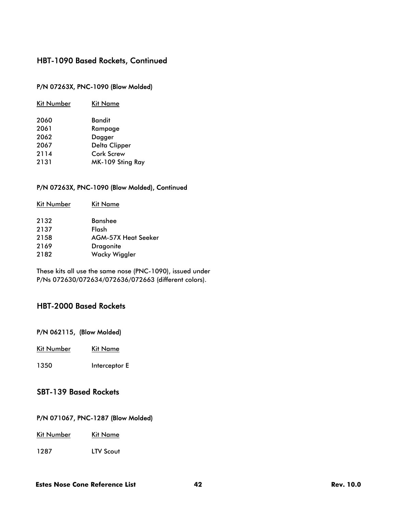#### P/N 07263X, PNC-1090 (Blow Molded)

#### P/N 07263X, PNC-1090 (Blow Molded), Continued

| Kit Number | Kit Name                   |
|------------|----------------------------|
| 2132       | <b>Banshee</b>             |
| 2137       | Flash                      |
| 2158       | <b>AGM-57X Heat Seeker</b> |
| 2169       | <b>Dragonite</b>           |
| 2182       | Wacky Wiggler              |

These kits all use the same nose (PNC-1090), issued under P/Ns 072630/072634/072636/072663 (different colors).

### HBT-2000 Based Rockets

### P/N 062115, (Blow Molded)

Kit Number Kit Name

1350 Interceptor E

### SBT-139 Based Rockets

#### P/N 071067, PNC-1287 (Blow Molded)

Kit Number Kit Name

1287 LTV Scout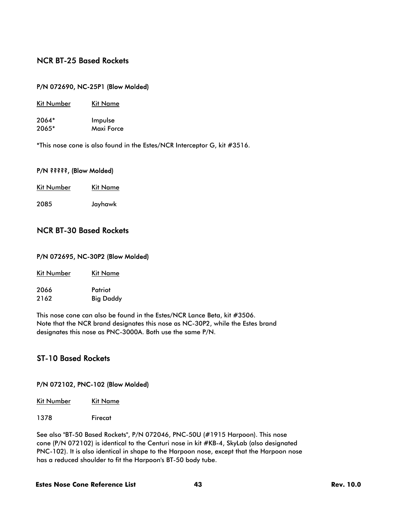### NCR BT-25 Based Rockets

#### P/N 072690, NC-25P1 (Blow Molded)

| Kit Number | Kit Name   |  |
|------------|------------|--|
| 2064*      | Impulse    |  |
| 2065*      | Maxi Force |  |

\*This nose cone is also found in the Estes/NCR Interceptor G, kit #3516.

#### P/N ?????, (Blow Molded)

| Kit Number | <b>Kit Name</b> |
|------------|-----------------|
|            |                 |

2085 Jayhawk

### NCR BT-30 Based Rockets

#### P/N 072695, NC-30P2 (Blow Molded)

| <b>Kit Number</b> | Kit Name |
|-------------------|----------|
|                   |          |

| 2066 | Patriot          |  |
|------|------------------|--|
| 2162 | <b>Big Daddy</b> |  |

This nose cone can also be found in the Estes/NCR Lance Beta, kit #3506. Note that the NCR brand designates this nose as NC-30P2, while the Estes brand designates this nose as PNC-3000A. Both use the same P/N.

### ST-10 Based Rockets

#### P/N 072102, PNC-102 (Blow Molded)

| Kit Number | Kit Name |
|------------|----------|
|            |          |

1378 Firecat

See also "BT-50 Based Rockets", P/N 072046, PNC-50U (#1915 Harpoon). This nose cone (P/N 072102) is identical to the Centuri nose in kit #KB-4, SkyLab (also designated PNC-102). It is also identical in shape to the Harpoon nose, except that the Harpoon nose has a reduced shoulder to fit the Harpoon's BT-50 body tube.